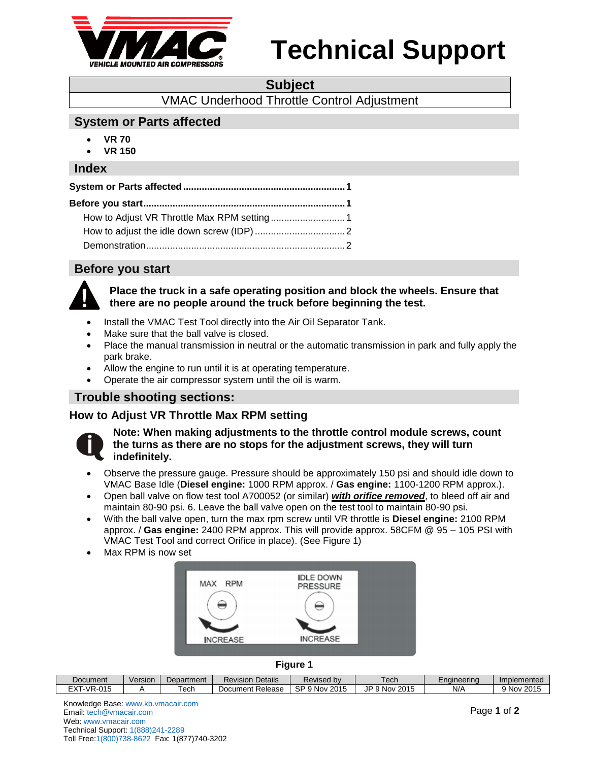

# **Technical Support**

#### **Subject**

VMAC Underhood Throttle Control Adjustment

### <span id="page-0-0"></span>**System or Parts affected**

- **VR 70**
- **VR 150**

#### **Index**

### <span id="page-0-1"></span>**Before you start**



#### **Place the truck in a safe operating position and block the wheels. Ensure that there are no people around the truck before beginning the test.**

- Install the VMAC Test Tool directly into the Air Oil Separator Tank.
- Make sure that the ball valve is closed.
- Place the manual transmission in neutral or the automatic transmission in park and fully apply the park brake.
- Allow the engine to run until it is at operating temperature.
- Operate the air compressor system until the oil is warm.

### **Trouble shooting sections:**

### <span id="page-0-2"></span>**How to Adjust VR Throttle Max RPM setting**



#### **Note: When making adjustments to the throttle control module screws, count the turns as there are no stops for the adjustment screws, they will turn indefinitely.**

- Observe the pressure gauge. Pressure should be approximately 150 psi and should idle down to VMAC Base Idle (**Diesel engine:** 1000 RPM approx. / **Gas engine:** 1100-1200 RPM approx.).
- Open ball valve on flow test tool A700052 (or similar) *with orifice removed*, to bleed off air and maintain 80-90 psi. 6. Leave the ball valve open on the test tool to maintain 80-90 psi.
- With the ball valve open, turn the max rpm screw until VR throttle is **Diesel engine:** 2100 RPM approx. / **Gas engine:** 2400 RPM approx. This will provide approx. 58CFM @ 95 – 105 PSI with VMAC Test Tool and correct Orifice in place). (See Figure 1)
- Max RPM is now set



**Figure 1**

| Document                                                                       | Versior | Department | $\cdots$<br>Details<br>Revision | evised bv                          | $\alpha$ r<br>'CUI            | ±naïneerina | Implemented        |
|--------------------------------------------------------------------------------|---------|------------|---------------------------------|------------------------------------|-------------------------------|-------------|--------------------|
| $-\sqrt{2}$<br>$\bigcap_{i=1}^n$<br>$\overline{\phantom{a}}$<br>$-V - -1$<br>. |         | ech        | Release<br>Document F           | SP<br>2015<br>$\sim$<br><b>NOV</b> | .IP<br>1.201r<br>Nov<br>نزالك | N/A         | 2015<br><b>Nov</b> |